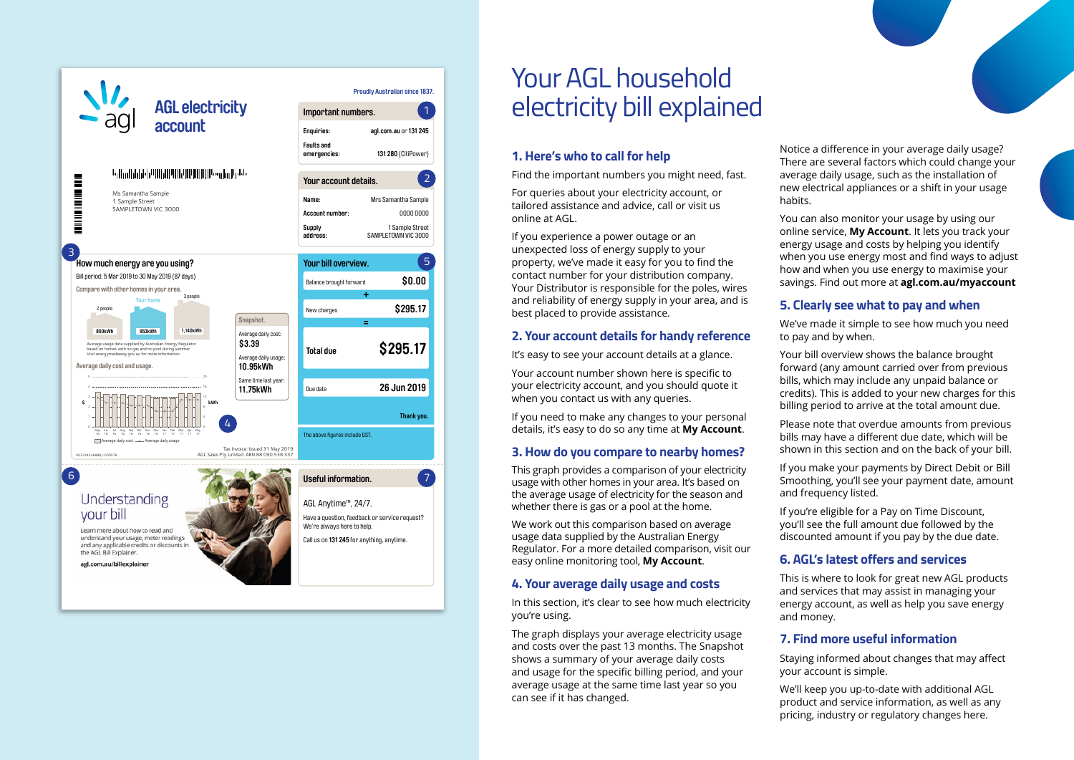

# Your AGL household electricity bill explained

#### **1. Here's who to call for help**

Find the important numbers you might need, fast.

For queries about your electricity account, or tailored assistance and advice, call or visit us online at AGL.

If you experience a power outage or an unexpected loss of energy supply to your property, we've made it easy for you to find the contact number for your distribution company. Your Distributor is responsible for the poles, wires and reliability of energy supply in your area, and is best placed to provide assistance.

#### **2. Your account details for handy reference**

It's easy to see your account details at a glance.

Your account number shown here is specific to your electricity account, and you should quote it when you contact us with any queries.

If you need to make any changes to your personal details, it's easy to do so any time at **My Account**.

#### **3. How do you compare to nearby homes?**

This graph provides a comparison of your electricity usage with other homes in your area. It's based on the average usage of electricity for the season and whether there is gas or a pool at the home.

We work out this comparison based on average usage data supplied by the Australian Energy Regulator. For a more detailed comparison, visit our easy online monitoring tool, **My Account**.

#### **4. Your average daily usage and costs**

In this section, it's clear to see how much electricity you're using.

The graph displays your average electricity usage and costs over the past 13 months. The Snapshot shows a summary of your average daily costs and usage for the specific billing period, and your average usage at the same time last year so you can see if it has changed.

Notice a difference in your average daily usage? There are several factors which could change your average daily usage, such as the installation of new electrical appliances or a shift in your usage habits.

You can also monitor your usage by using our online service, **My Account**. It lets you track your energy usage and costs by helping you identify when you use energy most and find ways to adjust how and when you use energy to maximise your savings. Find out more at **agl.com.au/myaccount**

#### **5. Clearly see what to pay and when**

We've made it simple to see how much you need to pay and by when.

Your bill overview shows the balance brought forward (any amount carried over from previous bills, which may include any unpaid balance or credits). This is added to your new charges for this billing period to arrive at the total amount due.

Please note that overdue amounts from previous bills may have a different due date, which will be shown in this section and on the back of your bill.

If you make your payments by Direct Debit or Bill Smoothing, you'll see your payment date, amount and frequency listed.

If you're eligible for a Pay on Time Discount, you'll see the full amount due followed by the discounted amount if you pay by the due date.

#### **6. AGL's latest offers and services**

This is where to look for great new AGL products and services that may assist in managing your energy account, as well as help you save energy and money.

#### **7. Find more useful information**

Staying informed about changes that may affect your account is simple.

We'll keep you up-to-date with additional AGL product and service information, as well as any pricing, industry or regulatory changes here.